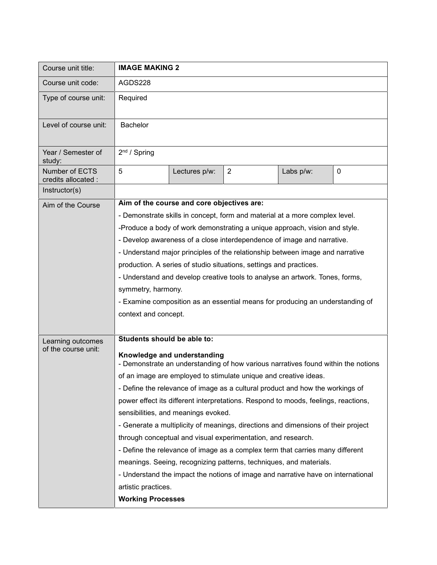| Course unit title:                    | <b>IMAGE MAKING 2</b>                                                                                                                                                               |               |                                                                    |           |           |  |
|---------------------------------------|-------------------------------------------------------------------------------------------------------------------------------------------------------------------------------------|---------------|--------------------------------------------------------------------|-----------|-----------|--|
| Course unit code:                     | AGDS228                                                                                                                                                                             |               |                                                                    |           |           |  |
| Type of course unit:                  | Required                                                                                                                                                                            |               |                                                                    |           |           |  |
| Level of course unit:                 | <b>Bachelor</b>                                                                                                                                                                     |               |                                                                    |           |           |  |
| Year / Semester of<br>study:          | 2 <sup>nd</sup> / Spring                                                                                                                                                            |               |                                                                    |           |           |  |
| Number of ECTS<br>credits allocated : | 5                                                                                                                                                                                   | Lectures p/w: | $\overline{2}$                                                     | Labs p/w: | $\pmb{0}$ |  |
| Instructor(s)                         |                                                                                                                                                                                     |               |                                                                    |           |           |  |
| Aim of the Course                     | Aim of the course and core objectives are:                                                                                                                                          |               |                                                                    |           |           |  |
|                                       | - Demonstrate skills in concept, form and material at a more complex level.                                                                                                         |               |                                                                    |           |           |  |
|                                       | -Produce a body of work demonstrating a unique approach, vision and style.<br>- Develop awareness of a close interdependence of image and narrative.                                |               |                                                                    |           |           |  |
|                                       |                                                                                                                                                                                     |               |                                                                    |           |           |  |
|                                       | - Understand major principles of the relationship between image and narrative<br>production. A series of studio situations, settings and practices.                                 |               |                                                                    |           |           |  |
|                                       |                                                                                                                                                                                     |               |                                                                    |           |           |  |
|                                       | - Understand and develop creative tools to analyse an artwork. Tones, forms,<br>symmetry, harmony.<br>- Examine composition as an essential means for producing an understanding of |               |                                                                    |           |           |  |
|                                       |                                                                                                                                                                                     |               |                                                                    |           |           |  |
|                                       |                                                                                                                                                                                     |               |                                                                    |           |           |  |
|                                       | context and concept.                                                                                                                                                                |               |                                                                    |           |           |  |
| Learning outcomes                     | Students should be able to:                                                                                                                                                         |               |                                                                    |           |           |  |
| of the course unit:                   | Knowledge and understanding<br>- Demonstrate an understanding of how various narratives found within the notions                                                                    |               |                                                                    |           |           |  |
|                                       | of an image are employed to stimulate unique and creative ideas.                                                                                                                    |               |                                                                    |           |           |  |
|                                       | - Define the relevance of image as a cultural product and how the workings of                                                                                                       |               |                                                                    |           |           |  |
|                                       | power effect its different interpretations. Respond to moods, feelings, reactions,                                                                                                  |               |                                                                    |           |           |  |
|                                       | sensibilities, and meanings evoked.                                                                                                                                                 |               |                                                                    |           |           |  |
|                                       | - Generate a multiplicity of meanings, directions and dimensions of their project                                                                                                   |               |                                                                    |           |           |  |
|                                       |                                                                                                                                                                                     |               | through conceptual and visual experimentation, and research.       |           |           |  |
|                                       | - Define the relevance of image as a complex term that carries many different                                                                                                       |               |                                                                    |           |           |  |
|                                       |                                                                                                                                                                                     |               | meanings. Seeing, recognizing patterns, techniques, and materials. |           |           |  |
|                                       | - Understand the impact the notions of image and narrative have on international                                                                                                    |               |                                                                    |           |           |  |
|                                       | artistic practices.                                                                                                                                                                 |               |                                                                    |           |           |  |
|                                       | <b>Working Processes</b>                                                                                                                                                            |               |                                                                    |           |           |  |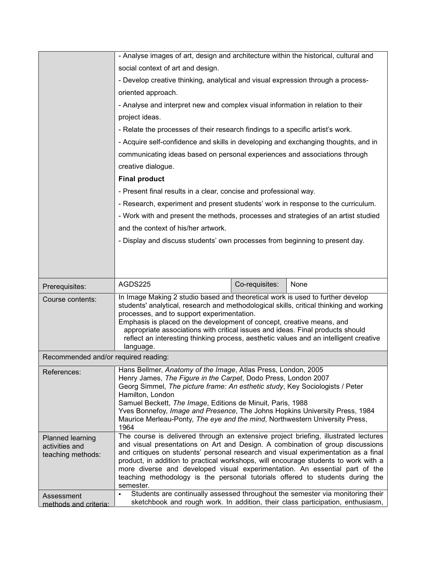|                                      | - Analyse images of art, design and architecture within the historical, cultural and                                                                                  |                |      |  |  |  |
|--------------------------------------|-----------------------------------------------------------------------------------------------------------------------------------------------------------------------|----------------|------|--|--|--|
|                                      | social context of art and design.                                                                                                                                     |                |      |  |  |  |
|                                      | - Develop creative thinking, analytical and visual expression through a process-                                                                                      |                |      |  |  |  |
|                                      | oriented approach.                                                                                                                                                    |                |      |  |  |  |
|                                      | - Analyse and interpret new and complex visual information in relation to their                                                                                       |                |      |  |  |  |
|                                      | project ideas.                                                                                                                                                        |                |      |  |  |  |
|                                      | - Relate the processes of their research findings to a specific artist's work.                                                                                        |                |      |  |  |  |
|                                      | - Acquire self-confidence and skills in developing and exchanging thoughts, and in                                                                                    |                |      |  |  |  |
|                                      | communicating ideas based on personal experiences and associations through                                                                                            |                |      |  |  |  |
|                                      | creative dialogue.                                                                                                                                                    |                |      |  |  |  |
|                                      | <b>Final product</b>                                                                                                                                                  |                |      |  |  |  |
|                                      | - Present final results in a clear, concise and professional way.                                                                                                     |                |      |  |  |  |
|                                      | - Research, experiment and present students' work in response to the curriculum.                                                                                      |                |      |  |  |  |
|                                      | - Work with and present the methods, processes and strategies of an artist studied                                                                                    |                |      |  |  |  |
|                                      | and the context of his/her artwork.                                                                                                                                   |                |      |  |  |  |
|                                      | - Display and discuss students' own processes from beginning to present day.                                                                                          |                |      |  |  |  |
|                                      |                                                                                                                                                                       |                |      |  |  |  |
|                                      |                                                                                                                                                                       |                |      |  |  |  |
|                                      |                                                                                                                                                                       |                |      |  |  |  |
|                                      |                                                                                                                                                                       |                |      |  |  |  |
| Prerequisites:                       | AGDS225                                                                                                                                                               | Co-requisites: | None |  |  |  |
| Course contents:                     | In Image Making 2 studio based and theoretical work is used to further develop                                                                                        |                |      |  |  |  |
|                                      | students' analytical, research and methodological skills, critical thinking and working<br>processes, and to support experimentation.                                 |                |      |  |  |  |
|                                      | Emphasis is placed on the development of concept, creative means, and                                                                                                 |                |      |  |  |  |
|                                      | appropriate associations with critical issues and ideas. Final products should                                                                                        |                |      |  |  |  |
|                                      | reflect an interesting thinking process, aesthetic values and an intelligent creative<br>language.                                                                    |                |      |  |  |  |
| Recommended and/or required reading: |                                                                                                                                                                       |                |      |  |  |  |
| References:                          | Hans Bellmer, Anatomy of the Image, Atlas Press, London, 2005                                                                                                         |                |      |  |  |  |
|                                      | Henry James, The Figure in the Carpet, Dodo Press, London 2007                                                                                                        |                |      |  |  |  |
|                                      | Georg Simmel, The picture frame: An esthetic study, Key Sociologists / Peter<br>Hamilton, London                                                                      |                |      |  |  |  |
|                                      | Samuel Beckett, The Image, Editions de Minuit, Paris, 1988                                                                                                            |                |      |  |  |  |
|                                      | Yves Bonnefoy, Image and Presence, The Johns Hopkins University Press, 1984<br>Maurice Merleau-Ponty, The eye and the mind, Northwestern University Press,            |                |      |  |  |  |
|                                      | 1964                                                                                                                                                                  |                |      |  |  |  |
| Planned learning                     | The course is delivered through an extensive project briefing, illustrated lectures<br>and visual presentations on Art and Design. A combination of group discussions |                |      |  |  |  |
| activities and<br>teaching methods:  | and critiques on students' personal research and visual experimentation as a final                                                                                    |                |      |  |  |  |
|                                      | product, in addition to practical workshops, will encourage students to work with a<br>more diverse and developed visual experimentation. An essential part of the    |                |      |  |  |  |
|                                      | teaching methodology is the personal tutorials offered to students during the                                                                                         |                |      |  |  |  |
| Assessment                           | semester.<br>Students are continually assessed throughout the semester via monitoring their                                                                           |                |      |  |  |  |